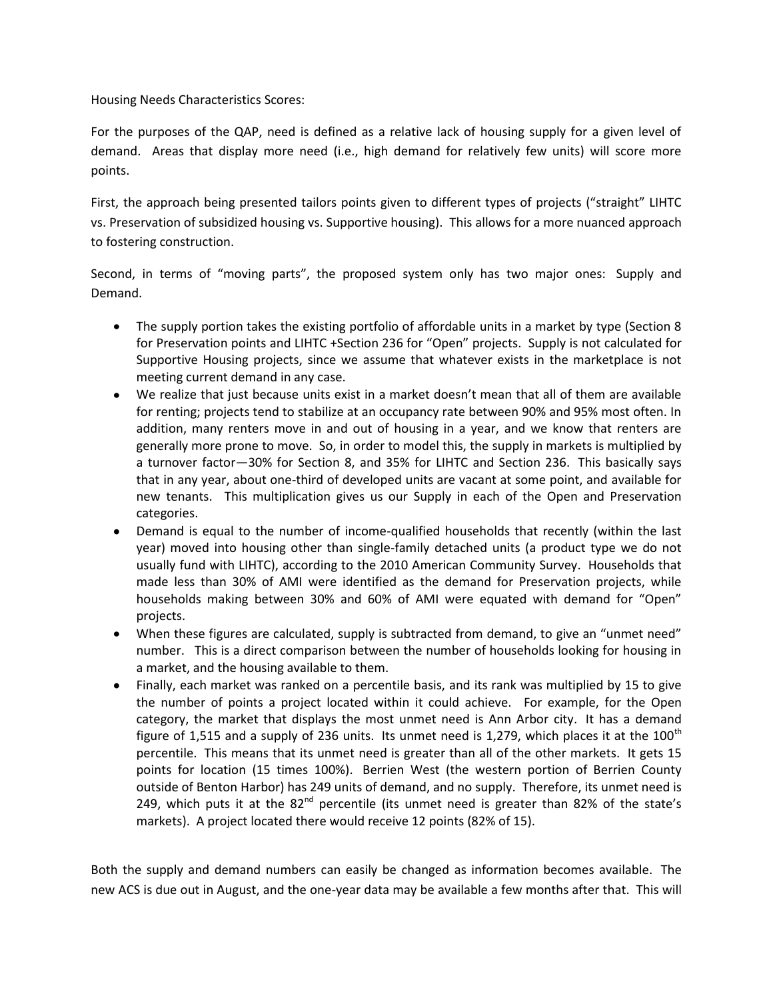Housing Needs Characteristics Scores:

For the purposes of the QAP, need is defined as a relative lack of housing supply for a given level of demand. Areas that display more need (i.e., high demand for relatively few units) will score more points.

First, the approach being presented tailors points given to different types of projects ("straight" LIHTC vs. Preservation of subsidized housing vs. Supportive housing). This allows for a more nuanced approach to fostering construction.

Second, in terms of "moving parts", the proposed system only has two major ones: Supply and Demand.

- The supply portion takes the existing portfolio of affordable units in a market by type (Section 8 for Preservation points and LIHTC +Section 236 for "Open" projects. Supply is not calculated for Supportive Housing projects, since we assume that whatever exists in the marketplace is not meeting current demand in any case.
- We realize that just because units exist in a market doesn't mean that all of them are available for renting; projects tend to stabilize at an occupancy rate between 90% and 95% most often. In addition, many renters move in and out of housing in a year, and we know that renters are generally more prone to move. So, in order to model this, the supply in markets is multiplied by a turnover factor—30% for Section 8, and 35% for LIHTC and Section 236. This basically says that in any year, about one-third of developed units are vacant at some point, and available for new tenants. This multiplication gives us our Supply in each of the Open and Preservation categories.
- Demand is equal to the number of income-qualified households that recently (within the last year) moved into housing other than single-family detached units (a product type we do not usually fund with LIHTC), according to the 2010 American Community Survey. Households that made less than 30% of AMI were identified as the demand for Preservation projects, while households making between 30% and 60% of AMI were equated with demand for "Open" projects.
- When these figures are calculated, supply is subtracted from demand, to give an "unmet need" number. This is a direct comparison between the number of households looking for housing in a market, and the housing available to them.
- Finally, each market was ranked on a percentile basis, and its rank was multiplied by 15 to give the number of points a project located within it could achieve. For example, for the Open category, the market that displays the most unmet need is Ann Arbor city. It has a demand figure of 1,515 and a supply of 236 units. Its unmet need is 1,279, which places it at the  $100<sup>th</sup>$ percentile. This means that its unmet need is greater than all of the other markets. It gets 15 points for location (15 times 100%). Berrien West (the western portion of Berrien County outside of Benton Harbor) has 249 units of demand, and no supply. Therefore, its unmet need is 249, which puts it at the  $82^{nd}$  percentile (its unmet need is greater than  $82\%$  of the state's markets). A project located there would receive 12 points (82% of 15).

Both the supply and demand numbers can easily be changed as information becomes available. The new ACS is due out in August, and the one-year data may be available a few months after that. This will